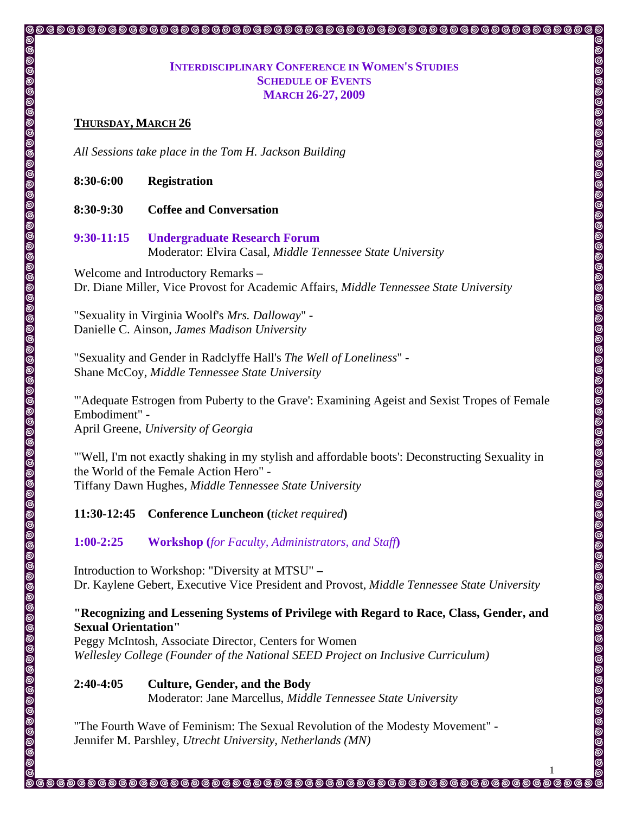## **INTERDISCIPLINARY CONFERENCE IN WOMEN'S STUDIES SCHEDULE OF EVENTS MARCH 26-27, 2009**

#### **THURSDAY, MARCH 26**

*All Sessions take place in the Tom H. Jackson Building* 

**8:30-6:00 Registration** 

- **8:30-9:30 Coffee and Conversation**
- **9:30-11:15 Undergraduate Research Forum**  Moderator: Elvira Casal, *Middle Tennessee State University*

Welcome and Introductory Remarks **–**  Dr. Diane Miller*,* Vice Provost for Academic Affairs, *Middle Tennessee State University* 

"Sexuality in Virginia Woolf's *Mrs. Dalloway*" **-**  Danielle C. Ainson, *James Madison University* 

"Sexuality and Gender in Radclyffe Hall's *The Well of Loneliness*" - Shane McCoy, *Middle Tennessee State University* 

"'Adequate Estrogen from Puberty to the Grave': Examining Ageist and Sexist Tropes of Female Embodiment" **-**  April Greene, *University of Georgia* 

"'Well, I'm not exactly shaking in my stylish and affordable boots': Deconstructing Sexuality in the World of the Female Action Hero" - Tiffany Dawn Hughes, *Middle Tennessee State University*

#### **11:30-12:45 Conference Luncheon (***ticket required***)**

**1:00-2:25 Workshop (***for Faculty, Administrators, and Staff***)** 

Introduction to Workshop: "Diversity at MTSU" **–**  Dr. Kaylene Gebert*,* Executive Vice President and Provost, *Middle Tennessee State University* 

# **"Recognizing and Lessening Systems of Privilege with Regard to Race, Class, Gender, and Sexual Orientation"**

Peggy McIntosh, Associate Director, Centers for Women *Wellesley College (Founder of the National SEED Project on Inclusive Curriculum)* 

**2:40-4:05 Culture, Gender, and the Body** 

Moderator: Jane Marcellus, *Middle Tennessee State University*

1

 $\circ$  ,  $\circ$  ,  $\circ$  ,  $\circ$  ,  $\circ$  ,  $\circ$  ,  $\circ$  ,  $\circ$  ,  $\circ$  ,  $\circ$  ,  $\circ$  ,  $\circ$  ,  $\circ$  ,  $\circ$  ,  $\circ$  ,  $\circ$  ,  $\circ$  ,  $\circ$  ,  $\circ$  ,  $\circ$  ,  $\circ$  ,  $\circ$  ,  $\circ$  ,  $\circ$  ,  $\circ$  ,  $\circ$  ,  $\circ$  ,  $\circ$  ,  $\circ$  ,  $\circ$  ,  $\circ$  ,  $\circ$ 

@@@@@@@@@@@@@@

"The Fourth Wave of Feminism: The Sexual Revolution of the Modesty Movement" **-**  Jennifer M. Parshley, *Utrecht University, Netherlands (MN)*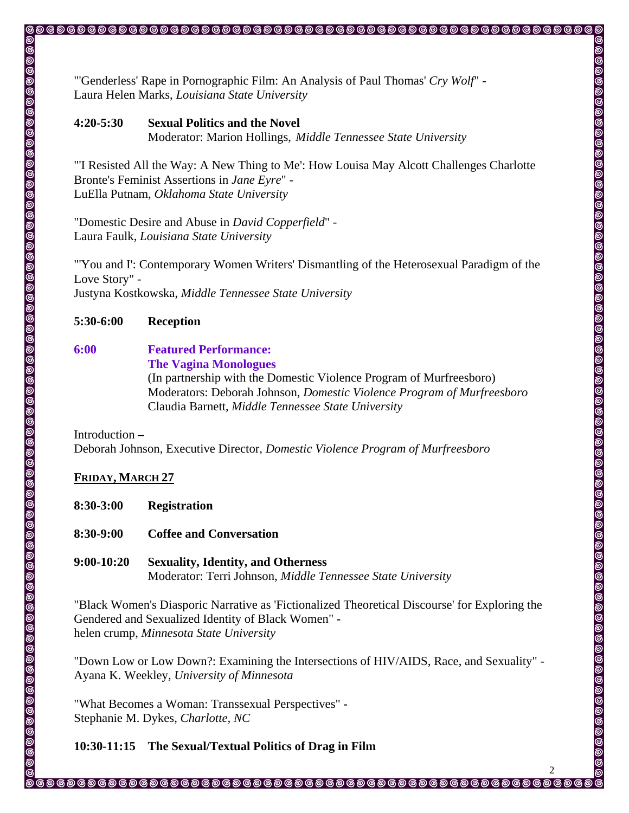"'Genderless' Rape in Pornographic Film: An Analysis of Paul Thomas' *Cry Wolf*" **-**  Laura Helen Marks, *Louisiana State University*

# **4:20-5:30 Sexual Politics and the Novel**  Moderator: Marion Hollings, *Middle Tennessee State University*

"'I Resisted All the Way: A New Thing to Me': How Louisa May Alcott Challenges Charlotte Bronte's Feminist Assertions in *Jane Eyre*" - LuElla Putnam, *Oklahoma State University*

,,,,,,,,,,,,,,,,

@@@@@@@@

"Domestic Desire and Abuse in *David Copperfield*" - Laura Faulk, *Louisiana State University* 

"'You and I': Contemporary Women Writers' Dismantling of the Heterosexual Paradigm of the Love Story" - Justyna Kostkowska, *Middle Tennessee State University* 

# **5:30-6:00 Reception**

# **6:00 Featured Performance:**

 **The Vagina Monologues** 

(In partnership with the Domestic Violence Program of Murfreesboro) Moderators: Deborah Johnson, *Domestic Violence Program of Murfreesboro*  Claudia Barnett, *Middle Tennessee State University* 

Introduction **–**  Deborah Johnson, Executive Director, *Domestic Violence Program of Murfreesboro* 

# **FRIDAY, MARCH 27**

- **8:30-3:00 Registration**
- **8:30-9:00 Coffee and Conversation**
- **9:00-10:20 Sexuality, Identity, and Otherness** Moderator: Terri Johnson, *Middle Tennessee State University*

"Black Women's Diasporic Narrative as 'Fictionalized Theoretical Discourse' for Exploring the Gendered and Sexualized Identity of Black Women"  helen crump, *Minnesota State University*

"Down Low or Low Down?: Examining the Intersections of HIV/AIDS, Race, and Sexuality" - Ayana K. Weekley, *University of Minnesota* 

"What Becomes a Woman: Transsexual Perspectives" **-**  Stephanie M. Dykes, *Charlotte, NC* 

**10:30-11:15 The Sexual/Textual Politics of Drag in Film** 

 $\circ$  ,  $\circ$  ,  $\circ$  ,  $\circ$  ,  $\circ$  ,  $\circ$  ,  $\circ$  ,  $\circ$  ,  $\circ$  ,  $\circ$  ,  $\circ$  ,  $\circ$  ,  $\circ$  ,  $\circ$  ,  $\circ$  ,  $\circ$  ,  $\circ$  ,  $\circ$  ,  $\circ$  ,  $\circ$  ,  $\circ$  ,  $\circ$  ,  $\circ$  ,  $\circ$  ,  $\circ$  ,  $\circ$  ,  $\circ$  ,  $\circ$  ,  $\circ$  ,  $\circ$  ,  $\circ$  ,  $\circ$